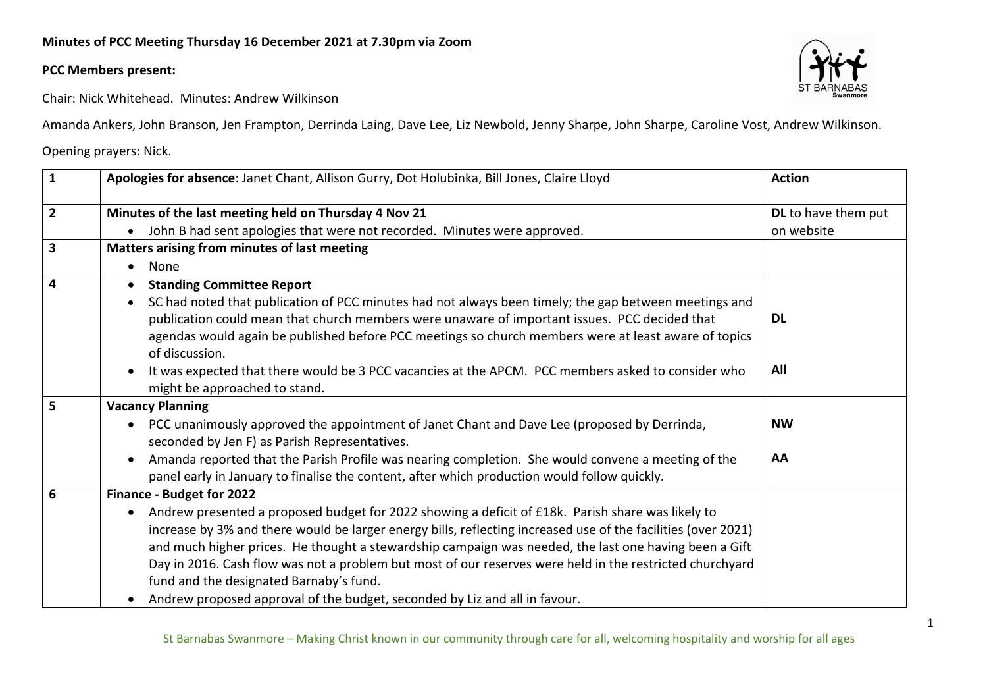## **PCC Members present:**



Chair: Nick Whitehead. Minutes: Andrew Wilkinson

Amanda Ankers, John Branson, Jen Frampton, Derrinda Laing, Dave Lee, Liz Newbold, Jenny Sharpe, John Sharpe, Caroline Vost, Andrew Wilkinson.

Opening prayers: Nick.

| $\mathbf{1}$            | Apologies for absence: Janet Chant, Allison Gurry, Dot Holubinka, Bill Jones, Claire Lloyd                                                                                                                                                                                                                                                                                                                                                                                                                                                                       | <b>Action</b>       |
|-------------------------|------------------------------------------------------------------------------------------------------------------------------------------------------------------------------------------------------------------------------------------------------------------------------------------------------------------------------------------------------------------------------------------------------------------------------------------------------------------------------------------------------------------------------------------------------------------|---------------------|
| $\overline{2}$          | Minutes of the last meeting held on Thursday 4 Nov 21                                                                                                                                                                                                                                                                                                                                                                                                                                                                                                            | DL to have them put |
|                         | John B had sent apologies that were not recorded. Minutes were approved.                                                                                                                                                                                                                                                                                                                                                                                                                                                                                         | on website          |
| $\overline{\mathbf{3}}$ | Matters arising from minutes of last meeting                                                                                                                                                                                                                                                                                                                                                                                                                                                                                                                     |                     |
|                         | None                                                                                                                                                                                                                                                                                                                                                                                                                                                                                                                                                             |                     |
| $\overline{\mathbf{4}}$ | <b>Standing Committee Report</b>                                                                                                                                                                                                                                                                                                                                                                                                                                                                                                                                 |                     |
|                         | SC had noted that publication of PCC minutes had not always been timely; the gap between meetings and<br>publication could mean that church members were unaware of important issues. PCC decided that<br>agendas would again be published before PCC meetings so church members were at least aware of topics<br>of discussion.                                                                                                                                                                                                                                 | <b>DL</b>           |
|                         | It was expected that there would be 3 PCC vacancies at the APCM. PCC members asked to consider who<br>might be approached to stand.                                                                                                                                                                                                                                                                                                                                                                                                                              | All                 |
| 5                       | <b>Vacancy Planning</b>                                                                                                                                                                                                                                                                                                                                                                                                                                                                                                                                          |                     |
|                         | PCC unanimously approved the appointment of Janet Chant and Dave Lee (proposed by Derrinda,<br>seconded by Jen F) as Parish Representatives.                                                                                                                                                                                                                                                                                                                                                                                                                     | <b>NW</b>           |
|                         | Amanda reported that the Parish Profile was nearing completion. She would convene a meeting of the<br>panel early in January to finalise the content, after which production would follow quickly.                                                                                                                                                                                                                                                                                                                                                               | AA                  |
| 6                       | Finance - Budget for 2022                                                                                                                                                                                                                                                                                                                                                                                                                                                                                                                                        |                     |
|                         | Andrew presented a proposed budget for 2022 showing a deficit of £18k. Parish share was likely to<br>increase by 3% and there would be larger energy bills, reflecting increased use of the facilities (over 2021)<br>and much higher prices. He thought a stewardship campaign was needed, the last one having been a Gift<br>Day in 2016. Cash flow was not a problem but most of our reserves were held in the restricted churchyard<br>fund and the designated Barnaby's fund.<br>Andrew proposed approval of the budget, seconded by Liz and all in favour. |                     |